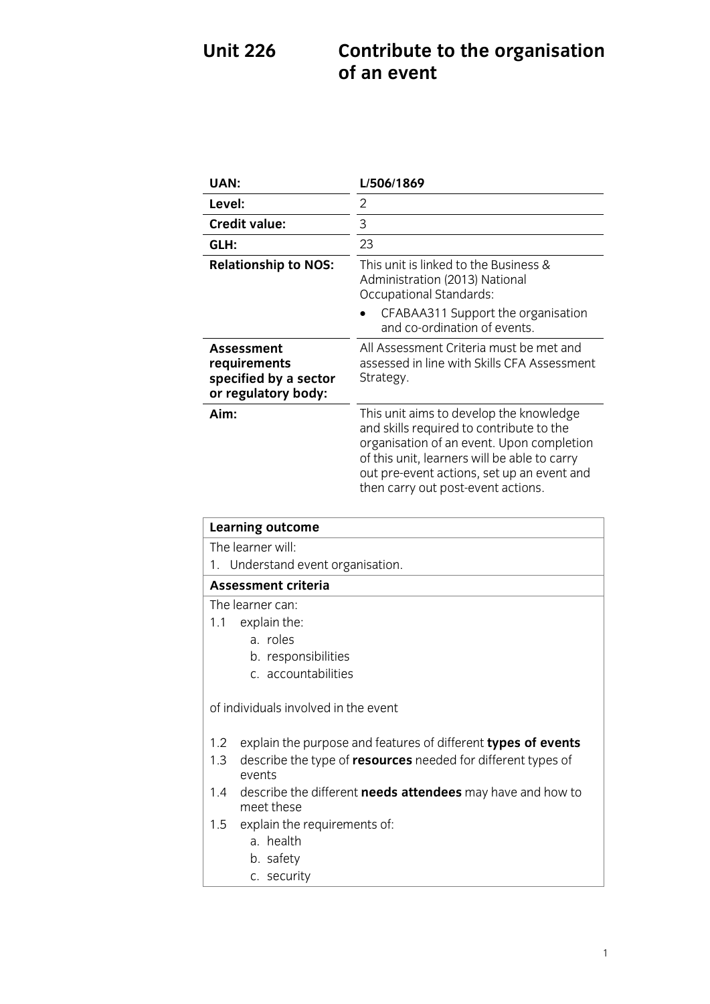# **U** is a contribute to the original  $\mathbf{C}$

| UAN:                                                                       | L/506/1869                                                                                                                                                                                                                                                           |
|----------------------------------------------------------------------------|----------------------------------------------------------------------------------------------------------------------------------------------------------------------------------------------------------------------------------------------------------------------|
| Level:                                                                     | 2                                                                                                                                                                                                                                                                    |
| <b>Credit value:</b>                                                       | 3                                                                                                                                                                                                                                                                    |
| GLH:                                                                       | 23                                                                                                                                                                                                                                                                   |
| <b>Relationship to NOS:</b>                                                | This unit is linked to the Business &<br>Administration (2013) National<br>Occupational Standards:                                                                                                                                                                   |
|                                                                            | CFABAA311 Support the organisation<br>and co-ordination of events.                                                                                                                                                                                                   |
| Assessment<br>requirements<br>specified by a sector<br>or regulatory body: | All Assessment Criteria must be met and<br>assessed in line with Skills CFA Assessment<br>Strategy.                                                                                                                                                                  |
| Aim:                                                                       | This unit aims to develop the knowledge<br>and skills required to contribute to the<br>organisation of an event. Upon completion<br>of this unit, learners will be able to carry<br>out pre-event actions, set up an event and<br>then carry out post-event actions. |

| <b>Learning outcome</b>                                                                |  |
|----------------------------------------------------------------------------------------|--|
| The learner will                                                                       |  |
| 1. Understand event organisation.                                                      |  |
| <b>Assessment criteria</b>                                                             |  |
| The learner can:                                                                       |  |
| explain the:<br>1.1                                                                    |  |
| a. roles                                                                               |  |
| b. responsibilities                                                                    |  |
| c. accountabilities                                                                    |  |
| of individuals involved in the event                                                   |  |
| explain the purpose and features of different types of events<br>1.2                   |  |
| describe the type of <b>resources</b> needed for different types of<br>1.3<br>events   |  |
| describe the different <b>needs attendees</b> may have and how to<br>1.4<br>meet these |  |
| explain the requirements of:<br>1.5                                                    |  |
| a. health                                                                              |  |
| b. safety                                                                              |  |
| c. security                                                                            |  |

c. security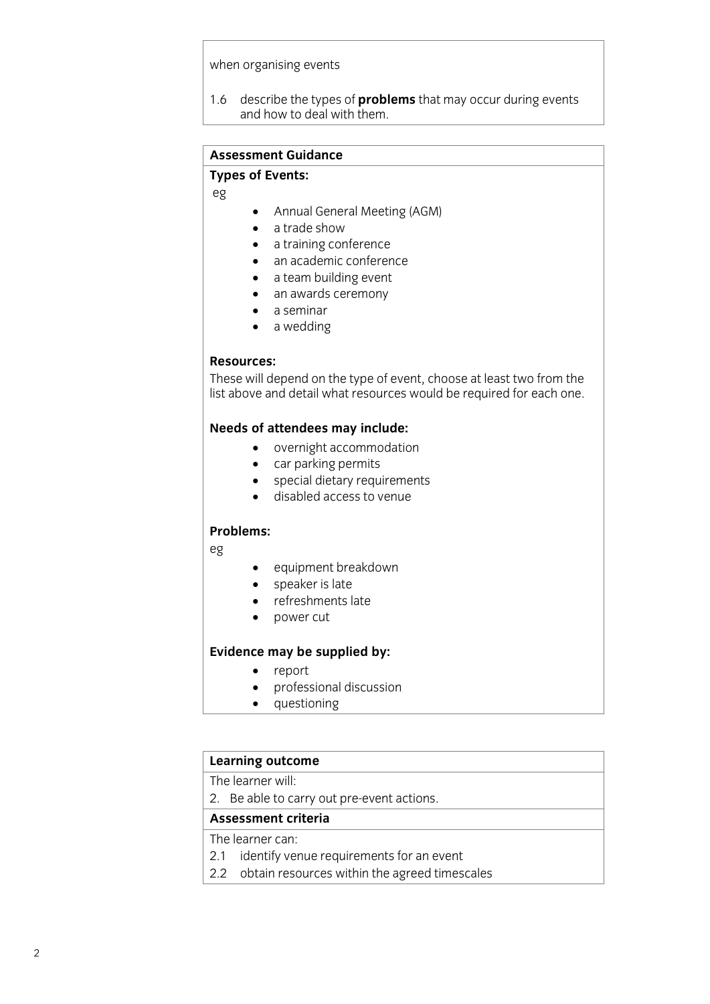when  $\mathbf{v}$ 

1.6 describe the types of **problems** that may occur during events and how to deal with the model with the model with the model with the model with the model with the model with<br>The model with the model with the model with the model with the model with the model with the model with the m

#### **Assessment Guidance**

#### **Types of Events:**

**Types of Events:** eg

- Annual General Meeting (AGM)
- a trade show
- a training conference
- an academic conference
- a team building event
- an awards ceremony
- a seminar
- a wedding

### Resources:

These will depend on the type of event, choose at least two from the list above and detail what resources would be required for each one. list above and detail what resources would be required for each one.

- overnight accommodation<br>• car parking permits
	- car parking permits
	- special dietary requirements
	- disabled access to venue

### Problems:

**Problems:** eg

- equipment breakdown
- speaker is late
- refreshments late
- power cut

#### j **Evidence may be supplied by:**

- report<br>• profess
- professional discussion<br>• questioning
- questioning

## **Learning outcome**<br>The learner will:

2. Be able to carry out pre-event actions.

#### Assessment criteria

The learner can:

- 2.1 identify venue requirements for an event
- 2.2 obtain resources within the agreed timescales 2.2 obtain resources with the agreement timescales with the agreement timescales with the agreement of the agreement of the agreement of the agreement of the agreement of the agreement of the agreement of the agreement of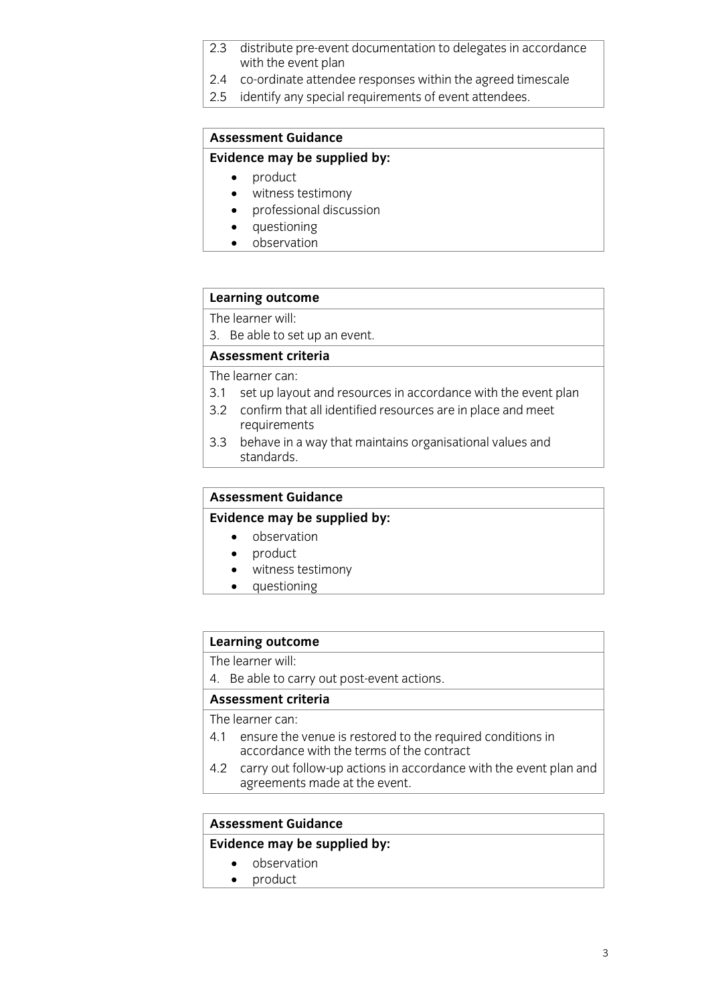- distribute pre-event documentation to delegates in accordance  $2.3$ with the event plan
- 2.4 co-ordinate attendee responses within the agreed timescale
- 2.5 identify any special requirements of event attendees.  $\frac{1}{2}$ .  $\frac{1}{2}$  identify any special requirements of event at terms of event at terms of event at terms of event at the special requirements of event at the special requirements of event at the special requirements o

### **Assessment Guidance**

### **Evidence may be supplied by:**

- 
- **Example 19**<br> **Evidence** may be supplied by the supplied by the supplied by the supplied by the supplied by the supplied by the supplied by the supplied by the supplied by the supplied by the supplied by the supplied by th • witness testimony<br>• professional discus
	- professional discussion
	- questioning<br>• observation
	- observation

## **Learning outcome**<br>The learner will:

3. Be able to set up an event.

### Assessment criteria

The learner can:

- 3.1 set up layout and resources in accordance with the event plan
- 3.2 confirm that all identified resources are in place and meet requirements
- $3.3$ behave in a way that maintains organisational values and standards. standards.

## **Assessment Guidance<br>Evidence may be supplied by:**

- **Evidence** observation
	- product
	- witness testimony<br>• questioning
	- questioning

### **Learning outcome**<br>The learner will:

4. Be able to carry out post-event actions.

#### Assessment criteria

The learner can:

- 4.1 ensure the venue is restored to the required conditions in accordance with the terms of the contract
- 4.2 carry out follow-up actions in accordance with the event plan and agreements made at the event. agreement made at the event.

## **Assessment Guidance**

- **Evidence C**<br> **e** observation<br> **e** product
	- product